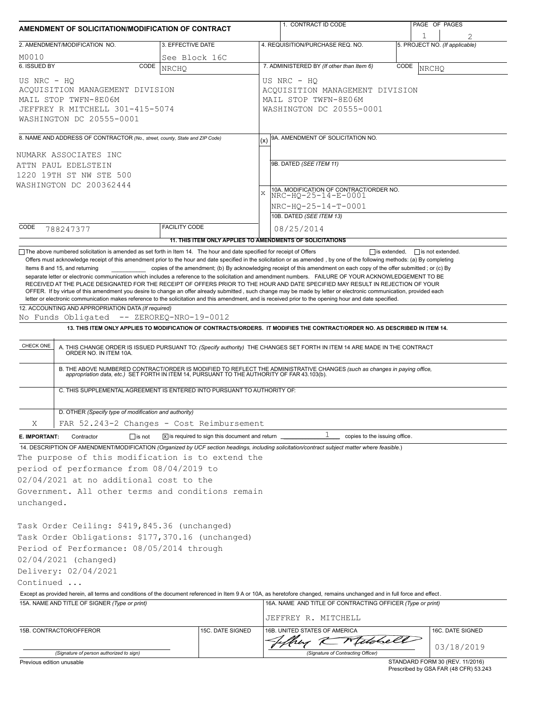| AMENDMENT OF SOLICITATION/MODIFICATION OF CONTRACT                                                                                                                                                                                                                                                   |               |                      |                                                                                                    | 1. CONTRACT ID CODE                                                                                                                                          |                                                                                                                                                                                                                                                                                                                                                                                                                                                                                                                                                                                                                                                                                                                                                                                                                                                                                                                                                                                                                                            |                                     | PAGE OF PAGES |                                 |  |
|------------------------------------------------------------------------------------------------------------------------------------------------------------------------------------------------------------------------------------------------------------------------------------------------------|---------------|----------------------|----------------------------------------------------------------------------------------------------|--------------------------------------------------------------------------------------------------------------------------------------------------------------|--------------------------------------------------------------------------------------------------------------------------------------------------------------------------------------------------------------------------------------------------------------------------------------------------------------------------------------------------------------------------------------------------------------------------------------------------------------------------------------------------------------------------------------------------------------------------------------------------------------------------------------------------------------------------------------------------------------------------------------------------------------------------------------------------------------------------------------------------------------------------------------------------------------------------------------------------------------------------------------------------------------------------------------------|-------------------------------------|---------------|---------------------------------|--|
| 2. AMENDMENT/MODIFICATION NO.<br>3. EFFECTIVE DATE                                                                                                                                                                                                                                                   |               |                      |                                                                                                    | 4. REQUISITION/PURCHASE REQ. NO.                                                                                                                             |                                                                                                                                                                                                                                                                                                                                                                                                                                                                                                                                                                                                                                                                                                                                                                                                                                                                                                                                                                                                                                            | 1<br>5. PROJECT NO. (If applicable) |               |                                 |  |
| M0010                                                                                                                                                                                                                                                                                                |               | See Block 16C        |                                                                                                    |                                                                                                                                                              |                                                                                                                                                                                                                                                                                                                                                                                                                                                                                                                                                                                                                                                                                                                                                                                                                                                                                                                                                                                                                                            |                                     |               |                                 |  |
| 6. ISSUED BY                                                                                                                                                                                                                                                                                         | CODE          | <b>NRCHO</b>         |                                                                                                    |                                                                                                                                                              | 7. ADMINISTERED BY (If other than Item 6)                                                                                                                                                                                                                                                                                                                                                                                                                                                                                                                                                                                                                                                                                                                                                                                                                                                                                                                                                                                                  | CODE                                | NRCHQ         |                                 |  |
| US NRC - HO<br>ACQUISITION MANAGEMENT DIVISION<br>MAIL STOP TWFN-8E06M<br>JEFFREY R MITCHELL 301-415-5074<br>WASHINGTON DC 20555-0001                                                                                                                                                                |               |                      | US NRC - HQ<br>ACQUISITION MANAGEMENT DIVISION<br>MAIL STOP TWFN-8E06M<br>WASHINGTON DC 20555-0001 |                                                                                                                                                              |                                                                                                                                                                                                                                                                                                                                                                                                                                                                                                                                                                                                                                                                                                                                                                                                                                                                                                                                                                                                                                            |                                     |               |                                 |  |
| 8. NAME AND ADDRESS OF CONTRACTOR (No., street, county, State and ZIP Code)                                                                                                                                                                                                                          |               |                      | 9A. AMENDMENT OF SOLICITATION NO.                                                                  |                                                                                                                                                              |                                                                                                                                                                                                                                                                                                                                                                                                                                                                                                                                                                                                                                                                                                                                                                                                                                                                                                                                                                                                                                            |                                     |               |                                 |  |
| NUMARK ASSOCIATES INC<br>ATTN PAUL EDELSTEIN<br>1220 19TH ST NW STE 500<br>WASHINGTON DC 200362444                                                                                                                                                                                                   |               |                      |                                                                                                    | 9B. DATED (SEE ITEM 11)<br>10A. MODIFICATION OF CONTRACT/ORDER NO.<br>$\mathbf{x}$<br>NRC-HQ-25-14-E-0001<br>NRC-HQ-25-14-T-0001<br>10B. DATED (SEE ITEM 13) |                                                                                                                                                                                                                                                                                                                                                                                                                                                                                                                                                                                                                                                                                                                                                                                                                                                                                                                                                                                                                                            |                                     |               |                                 |  |
| CODE<br>788247377                                                                                                                                                                                                                                                                                    |               | <b>FACILITY CODE</b> |                                                                                                    |                                                                                                                                                              | 08/25/2014                                                                                                                                                                                                                                                                                                                                                                                                                                                                                                                                                                                                                                                                                                                                                                                                                                                                                                                                                                                                                                 |                                     |               |                                 |  |
|                                                                                                                                                                                                                                                                                                      |               |                      |                                                                                                    |                                                                                                                                                              | 11. THIS ITEM ONLY APPLIES TO AMENDMENTS OF SOLICITATIONS                                                                                                                                                                                                                                                                                                                                                                                                                                                                                                                                                                                                                                                                                                                                                                                                                                                                                                                                                                                  |                                     |               |                                 |  |
| Items 8 and 15, and returning<br>12. ACCOUNTING AND APPROPRIATION DATA (If required)<br>No Funds Obligated -- ZEROREQ-NRO-19-0012<br>CHECK ONE                                                                                                                                                       |               |                      |                                                                                                    |                                                                                                                                                              | copies of the amendment; (b) By acknowledging receipt of this amendment on each copy of the offer submitted; or (c) By<br>separate letter or electronic communication which includes a reference to the solicitation and amendment numbers. FAILURE OF YOUR ACKNOWLEDGEMENT TO BE<br>RECEIVED AT THE PLACE DESIGNATED FOR THE RECEIPT OF OFFERS PRIOR TO THE HOUR AND DATE SPECIFIED MAY RESULT IN REJECTION OF YOUR<br>OFFER. If by virtue of this amendment you desire to change an offer already submitted, such change may be made by letter or electronic communication, provided each<br>letter or electronic communication makes reference to the solicitation and this amendment, and is received prior to the opening hour and date specified.<br>13. THIS ITEM ONLY APPLIES TO MODIFICATION OF CONTRACTS/ORDERS. IT MODIFIES THE CONTRACT/ORDER NO. AS DESCRIBED IN ITEM 14.<br>A. THIS CHANGE ORDER IS ISSUED PURSUANT TO: (Specify authority) THE CHANGES SET FORTH IN ITEM 14 ARE MADE IN THE CONTRACT ORDER NO. IN ITEM 10A. |                                     |               |                                 |  |
| B. THE ABOVE NUMBERED CONTRACT/ORDER IS MODIFIED TO REFLECT THE ADMINISTRATIVE CHANGES (such as changes in paying office,<br>appropriation data, etc.) SET FORTH IN ITEM 14, PURSUANT TO THE AUTHORITY OF FAR 43.103(b).<br>C. THIS SUPPLEMENTAL AGREEMENT IS ENTERED INTO PURSUANT TO AUTHORITY OF: |               |                      |                                                                                                    |                                                                                                                                                              |                                                                                                                                                                                                                                                                                                                                                                                                                                                                                                                                                                                                                                                                                                                                                                                                                                                                                                                                                                                                                                            |                                     |               |                                 |  |
| D. OTHER (Specify type of modification and authority)                                                                                                                                                                                                                                                |               |                      |                                                                                                    |                                                                                                                                                              |                                                                                                                                                                                                                                                                                                                                                                                                                                                                                                                                                                                                                                                                                                                                                                                                                                                                                                                                                                                                                                            |                                     |               |                                 |  |
| FAR 52.243-2 Changes - Cost Reimbursement<br>Χ                                                                                                                                                                                                                                                       |               |                      |                                                                                                    |                                                                                                                                                              |                                                                                                                                                                                                                                                                                                                                                                                                                                                                                                                                                                                                                                                                                                                                                                                                                                                                                                                                                                                                                                            |                                     |               |                                 |  |
| E. IMPORTANT:<br>Contractor                                                                                                                                                                                                                                                                          | $\Box$ is not |                      | $ \overline{x} $ is required to sign this document and return $\overline{a}$                       |                                                                                                                                                              | copies to the issuing office.                                                                                                                                                                                                                                                                                                                                                                                                                                                                                                                                                                                                                                                                                                                                                                                                                                                                                                                                                                                                              |                                     |               |                                 |  |
| The purpose of this modification is to extend the<br>period of performance from 08/04/2019 to<br>02/04/2021 at no additional cost to the<br>Government. All other terms and conditions remain<br>unchanged.                                                                                          |               |                      |                                                                                                    |                                                                                                                                                              | 14. DESCRIPTION OF AMENDMENT/MODIFICATION (Organized by UCF section headings, including solicitation/contract subject matter where feasible.)                                                                                                                                                                                                                                                                                                                                                                                                                                                                                                                                                                                                                                                                                                                                                                                                                                                                                              |                                     |               |                                 |  |
| Task Order Ceiling: \$419,845.36 (unchanged)<br>Task Order Obligations: \$177,370.16 (unchanged)<br>Period of Performance: 08/05/2014 through<br>02/04/2021 (changed)<br>Delivery: 02/04/2021<br>Continued                                                                                           |               |                      |                                                                                                    |                                                                                                                                                              | Except as provided herein, all terms and conditions of the document referenced in Item 9 A or 10A, as heretofore changed, remains unchanged and in full force and effect.                                                                                                                                                                                                                                                                                                                                                                                                                                                                                                                                                                                                                                                                                                                                                                                                                                                                  |                                     |               |                                 |  |
| 15A. NAME AND TITLE OF SIGNER (Type or print)                                                                                                                                                                                                                                                        |               |                      |                                                                                                    |                                                                                                                                                              | 16A. NAME AND TITLE OF CONTRACTING OFFICER (Type or print)<br>JEFFREY R. MITCHELL                                                                                                                                                                                                                                                                                                                                                                                                                                                                                                                                                                                                                                                                                                                                                                                                                                                                                                                                                          |                                     |               |                                 |  |
| 15B. CONTRACTOR/OFFEROR                                                                                                                                                                                                                                                                              |               |                      | 15C. DATE SIGNED                                                                                   |                                                                                                                                                              | 16B. UNITED STATES OF AMERICA<br>hey K Milde                                                                                                                                                                                                                                                                                                                                                                                                                                                                                                                                                                                                                                                                                                                                                                                                                                                                                                                                                                                               |                                     |               | 16C. DATE SIGNED                |  |
| (Signature of person authorized to sign)                                                                                                                                                                                                                                                             |               |                      |                                                                                                    |                                                                                                                                                              | (Signature of Contracting Officer)                                                                                                                                                                                                                                                                                                                                                                                                                                                                                                                                                                                                                                                                                                                                                                                                                                                                                                                                                                                                         |                                     |               | 03/18/2019                      |  |
| Previous edition unusable                                                                                                                                                                                                                                                                            |               |                      |                                                                                                    |                                                                                                                                                              |                                                                                                                                                                                                                                                                                                                                                                                                                                                                                                                                                                                                                                                                                                                                                                                                                                                                                                                                                                                                                                            |                                     |               | STANDARD FORM 30 (REV. 11/2016) |  |

STANDARD FORM 30 (REV. 11/2016) Prescribed by GSA FAR (48 CFR) 53.243